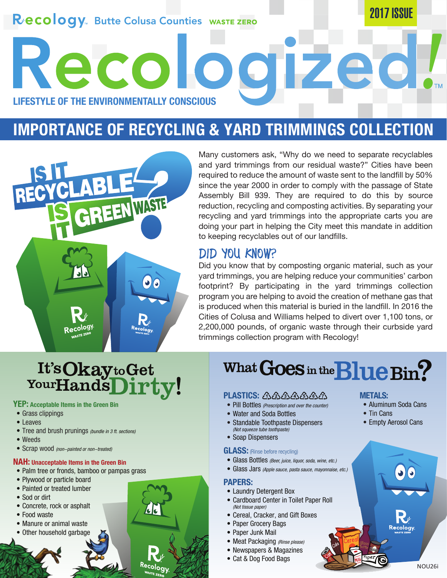### Recology. Butte Colusa Counties WASTE ZERO

**LIFESTYLE OF THE ENVIRONMENTALLY CONSCIOUS**

Recolo

## **IMPORTANCE OF RECYCLING & YARD TRIMMINGS COLLECTION**

 $\bullet$ 



Many customers ask, "Why do we need to separate recyclables and yard trimmings from our residual waste?" Cities have been required to reduce the amount of waste sent to the landfill by 50% since the year 2000 in order to comply with the passage of State Assembly Bill 939. They are required to do this by source reduction, recycling and composting activities. By separating your recycling and yard trimmings into the appropriate carts you are doing your part in helping the City meet this mandate in addition to keeping recyclables out of our landfills.

**12e0** 

### DID YOU KNOW?

Did you know that by composting organic material, such as your yard trimmings, you are helping reduce your communities' carbon footprint? By participating in the yard trimmings collection program you are helping to avoid the creation of methane gas that is produced when this material is buried in the landfill. In 2016 the Cities of Colusa and Williams helped to divert over 1,100 tons, or 2,200,000 pounds, of organic waste through their curbside yard trimmings collection program with Recology!

### It's Okayto Get YourHandsDirty!

 $\epsilon |\epsilon|$ 

<sup>Recology</sup>

#### **YEP: Acceptable Items in the Green Bin**

- Grass clippings
- Leaves
- Tree and brush prunings (bundle in 3 ft. sections)
- Weeds
- Scrap wood (non-painted or non-treated)

#### **NAH: Unacceptable Items in the Green Bin**

- Palm tree or fronds, bamboo or pampas grass
- Plywood or particle board
- Painted or treated lumber
- Sod or dirt
- Concrete, rock or asphalt
- Food waste
- Manure or animal waste
- Other household garbage

## What Goes in the Blue Bin?

#### **PLASTICS:**

- Pill Bottles (Prescription and over the counter)
- Water and Soda Bottles
- Standable Toothpaste Dispensers<br>(Not squeeze tube toothpaste)
- Soap Dispensers

#### **GLASS:** (Rinse before recycling)

- Glass Bottles (Beer, juice, liquor, soda, wine, etc.)
- Glass Jars (Apple sauce, pasta sauce, mayonnaise, etc.)

#### **PAPERS:**

- Laundry Detergent Box
- Cardboard Center in Toilet Paper Roll (Not tissue paper)
- Cereal, Cracker, and Gift Boxes
- Paper Grocery Bags
- Paper Junk Mail
- Meat Packaging (Rinse please)
- Newspapers & Magazines
- Cat & Dog Food Bags

#### **METALS:**

• Aluminum Soda Cans

2017 ISSUE

- Tin Cans
- Empty Aerosol Cans